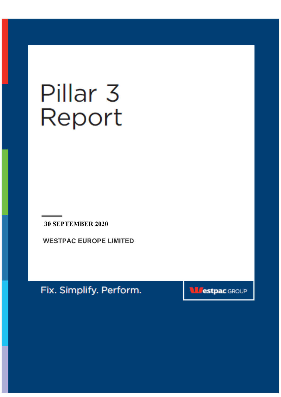# Pillar<sub>3</sub> Report

**30 SEPTEMBER 2020** 

**WESTPAC EUROPE LIMITED** 

Fix. Simplify. Perform.

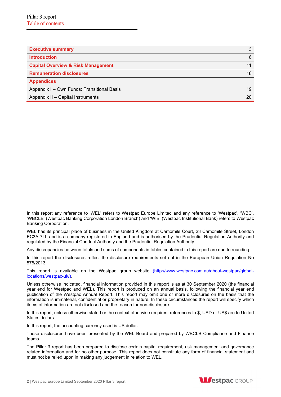| <b>Executive summary</b>                      | 3  |
|-----------------------------------------------|----|
| <b>Introduction</b>                           | 6  |
| <b>Capital Overview &amp; Risk Management</b> |    |
| <b>Remuneration disclosures</b>               | 18 |
| <b>Appendices</b>                             |    |
| Appendix I - Own Funds: Transitional Basis    | 19 |
| Appendix II - Capital Instruments             | 20 |

In this report any reference to 'WEL' refers to Westpac Europe Limited and any reference to 'Westpac', 'WBC', 'WBCLB' (Westpac Banking Corporation London Branch) and 'WIB' (Westpac Institutional Bank) refers to Westpac Banking Corporation.

WEL has its principal place of business in the United Kingdom at Camomile Court, 23 Camomile Street, London EC3A 7LL and is a company registered in England and is authorised by the Prudential Regulation Authority and regulated by the Financial Conduct Authority and the Prudential Regulation Authority

Any discrepancies between totals and sums of components in tables contained in this report are due to rounding.

In this report the disclosures reflect the disclosure requirements set out in the European Union Regulation No 575/2013.

This report is available on the Westpac group website (http://www.westpac.com.au/about-westpac/globallocations/westpac-uk/).

Unless otherwise indicated, financial information provided in this report is as at 30 September 2020 (the financial year end for Westpac and WEL). This report is produced on an annual basis, following the financial year end publication of the Westpac Annual Report. This report may omit one or more disclosures on the basis that the information is immaterial, confidential or proprietary in nature. In these circumstances the report will specify which items of information are not disclosed and the reason for non-disclosure.

In this report, unless otherwise stated or the context otherwise requires, references to \$, USD or US\$ are to United States dollars.

In this report, the accounting currency used is US dollar.

These disclosures have been presented by the WEL Board and prepared by WBCLB Compliance and Finance teams.

The Pillar 3 report has been prepared to disclose certain capital requirement, risk management and governance related information and for no other purpose. This report does not constitute any form of financial statement and must not be relied upon in making any judgement in relation to WEL.

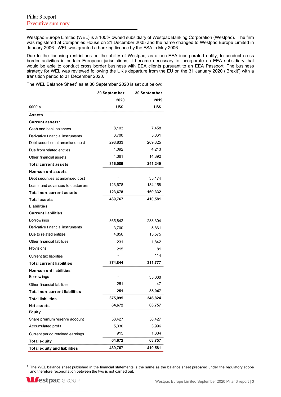Westpac Europe Limited (WEL) is a 100% owned subsidiary of Westpac Banking Corporation (Westpac). The firm was registered at Companies House on 21 December 2005 and the name changed to Westpac Europe Limited in January 2006. WEL was granted a banking licence by the FSA in May 2006.

Due to the licensing restrictions on the ability of Westpac, as a non-EEA incorporated entity, to conduct cross border activities in certain European jurisdictions, it became necessary to incorporate an EEA subsidiary that would be able to conduct cross border business with EEA clients pursuant to an EEA Passport. The business strategy for WEL was reviewed following the UK's departure from the EU on the 31 January 2020 ('Brexit') with a transition period to 31 December 2020.

The WEL Balance Sheet<sup>1</sup> as at 30 September 2020 is set out below:

|                                      | 30 September | 30 September |
|--------------------------------------|--------------|--------------|
|                                      | 2020         | 2019         |
| \$000's                              | US\$         | US\$         |
| Assets                               |              |              |
| <b>Current assets:</b>               |              |              |
| Cash and bank balances               | 8,103        | 7,458        |
| Derivative financial instruments     | 3,700        | 5,861        |
| Debt securities at amortised cost    | 298,833      | 209,325      |
| Due from related entities            | 1,092        | 4,213        |
| Other financial assets               | 4,361        | 14,392       |
| <b>Total current assets</b>          | 316,089      | 241,249      |
| <b>Non-current assets</b>            |              |              |
| Debt securities at amortised cost    |              | 35,174       |
| Loans and advances to customers      | 123,678      | 134,158      |
| <b>Total non-current assets</b>      | 123,678      | 169,332      |
| <b>Total assets</b>                  | 439,767      | 410,581      |
| Liabilities                          |              |              |
| <b>Current liabilities</b>           |              |              |
| Borrow ings                          | 365,842      | 288,304      |
| Derivative financial instruments     | 3,700        | 5,861        |
| Due to related entities              | 4,856        | 15,575       |
| Other financial liabilities          | 231          | 1,842        |
| Provisions                           | 215          | 81           |
| <b>Current tax liabilities</b>       |              | 114          |
| <b>Total current liabilities</b>     | 374,844      | 311,777      |
| <b>Non-current liabilities</b>       |              |              |
| Borrow ings                          |              | 35,000       |
| Other financial liabilities          | 251          | 47           |
| <b>Total non-current liabilities</b> | 251          | 35,047       |
| <b>Total liabilities</b>             | 375,095      | 346,824      |
| <b>Netassets</b>                     | 64,672       | 63,757       |
| <b>Equity</b>                        |              |              |
| Share premium reserve account        | 58,427       | 58,427       |
| Accumulated profit                   | 5,330        | 3,996        |
| Current period retained earnings     | 915          | 1,334        |
| <b>Total equity</b>                  | 64,672       | 63,757       |
| <b>Total equity and liabilities</b>  | 439,767      | 410,581      |

<sup>&</sup>lt;sup>1</sup> The WEL balance sheet published in the financial statements is the same as the balance sheet prepared under the regulatory scope and therefore reconciliation between the two is not carried out.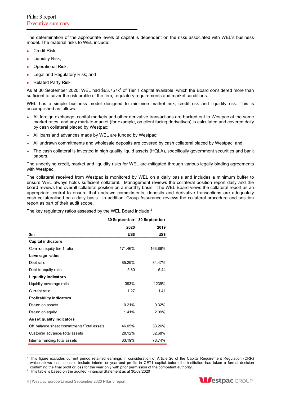The determination of the appropriate levels of capital is dependent on the risks associated with WEL's business model. The material risks to WEL include:

- Credit Risk:
- Liquidity Risk;
- Operational Risk;
- Legal and Regulatory Risk; and
- Related Party Risk

As at 30 September 2020, WEL had \$63,757k<sup>1</sup> of Tier 1 capital available, which the Board considered more than sufficient to cover the risk profile of the firm, regulatory requirements and market conditions.

WEL has a simple business model designed to minimise market risk, credit risk and liquidity risk. This is accomplished as follows:

- All foreign exchange, capital markets and other derivative transactions are backed out to Westpac at the same market rates, and any mark-to-market (for example, on client facing derivatives) is calculated and covered daily by cash collateral placed by Westpac;
- All loans and advances made by WEL are funded by Westpac;
- All undrawn commitments and wholesale deposits are covered by cash collateral placed by Westpac; and
- The cash collateral is invested in high quality liquid assets (HQLA), specifically government securities and bank papers.

The underlying credit, market and liquidity risks for WEL are mitigated through various legally binding agreements with Westpac.

The collateral received from Westpac is monitored by WEL on a daily basis and includes a minimum buffer to ensure WEL always holds sufficient collateral. Management reviews the collateral position report daily and the board reviews the overall collateral position on a monthly basis. The WEL Board views the collateral report as an appropriate control to ensure that undrawn commitments, deposits and derivative transactions are adequately cash collateralised on a daily basis. In addition, Group Assurance reviews the collateral procedure and position report as part of their audit scope.

The key regulatory ratios assessed by the WEL Board include:<sup>2</sup>

|                                            |         | 30 September 30 September |
|--------------------------------------------|---------|---------------------------|
|                                            | 2020    | 2019                      |
| \$m                                        | US\$    | US\$                      |
| <b>Capital indicators</b>                  |         |                           |
| Common equity tier 1 ratio                 | 171.46% | 163.86%                   |
| Leverage ratios                            |         |                           |
| Debt ratio                                 | 85.29%  | 84 47%                    |
| Debt-to-equity ratio                       | 5.80    | 5.44                      |
| <b>Liquidity indicators</b>                |         |                           |
| Liquidity coverage ratio                   | 393%    | 1239%                     |
| Current ratio                              | 1.27    | 1.41                      |
| <b>Profitability indicators</b>            |         |                           |
| Return on assets                           | 0.21%   | 0.32%                     |
| Return on equity                           | 1.41%   | 2.09%                     |
| <b>Asset quality indicators</b>            |         |                           |
| Off balance sheet commitments/Total assets | 46.05%  | 33.26%                    |
| Customer advance/Total assets              | 28.12%  | 32.68%                    |
| Internal funding/Total assets              | 83.19%  | 78.74%                    |

<sup>1</sup> This figure excludes current period retained earnings in consideration of Article 26 of the Capital Requirement Regulation (CRR) which allows institutions to include interim or year-end profits in CET1 capital before the institution has taken a formal decision confirming the final profit or loss for the year only with prior permission of the competent authority. 2



 $2$  This table is based on the audited Financial Statement as at 30/09/2020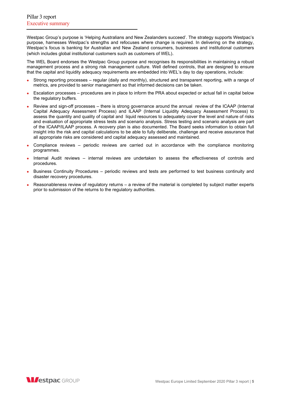Westpac Group's purpose is 'Helping Australians and New Zealanders succeed'. The strategy supports Westpac's purpose, harnesses Westpac's strengths and refocuses where change is required. In delivering on the strategy, Westpac's focus is banking for Australian and New Zealand consumers, businesses and institutional customers (which includes global institutional customers such as customers of WEL).

The WEL Board endorses the Westpac Group purpose and recognises its responsibilities in maintaining a robust management process and a strong risk management culture. Well defined controls, that are designed to ensure that the capital and liquidity adequacy requirements are embedded into WEL's day to day operations, include:

- Strong reporting processes regular (daily and monthly), structured and transparent reporting, with a range of metrics, are provided to senior management so that informed decisions can be taken.
- Escalation processes procedures are in place to inform the PRA about expected or actual fall in capital below the regulatory buffers.
- Review and sign-off processes there is strong governance around the annual review of the ICAAP (Internal Capital Adequacy Assessment Process) and ILAAP (Internal Liquidity Adequacy Assessment Process) to assess the quantity and quality of capital and liquid resources to adequately cover the level and nature of risks and evaluation of appropriate stress tests and scenario analysis. Stress testing and scenario analysis are part of the ICAAP/ILAAP process. A recovery plan is also documented. The Board seeks information to obtain full insight into the risk and capital calculations to be able to fully deliberate, challenge and receive assurance that all appropriate risks are considered and capital adequacy assessed and maintained.
- Compliance reviews periodic reviews are carried out in accordance with the compliance monitoring programmes.
- Internal Audit reviews internal reviews are undertaken to assess the effectiveness of controls and procedures.
- Business Continuity Procedures periodic reviews and tests are performed to test business continuity and disaster recovery procedures.
- Reasonableness review of regulatory returns a review of the material is completed by subject matter experts prior to submission of the returns to the regulatory authorities.

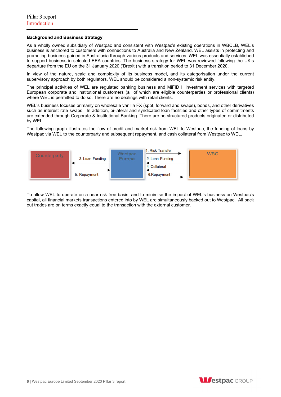# **Background and Business Strategy**

As a wholly owned subsidiary of Westpac and consistent with Westpac's existing operations in WBCLB, WEL's business is anchored to customers with connections to Australia and New Zealand. WEL assists in protecting and promoting business gained in Australasia through various products and services. WEL was essentially established to support business in selected EEA countries. The business strategy for WEL was reviewed following the UK's departure from the EU on the 31 January 2020 ('Brexit') with a transition period to 31 December 2020.

In view of the nature, scale and complexity of its business model, and its categorisation under the current supervisory approach by both regulators, WEL should be considered a non-systemic risk entity.

The principal activities of WEL are regulated banking business and MiFID II investment services with targeted European corporate and institutional customers (all of which are eligible counterparties or professional clients) where WEL is permitted to do so. There are no dealings with retail clients.

WEL's business focuses primarily on wholesale vanilla FX (spot, forward and swaps), bonds, and other derivatives such as interest rate swaps. In addition, bi-lateral and syndicated loan facilities and other types of commitments are extended through Corporate & Institutional Banking. There are no structured products originated or distributed by WEL.

The following graph illustrates the flow of credit and market risk from WEL to Westpac, the funding of loans by Westpac via WEL to the counterparty and subsequent repayment, and cash collateral from Westpac to WEL.



To allow WEL to operate on a near risk free basis, and to minimise the impact of WEL's business on Westpac's capital, all financial markets transactions entered into by WEL are simultaneously backed out to Westpac. All back out trades are on terms exactly equal to the transaction with the external customer.

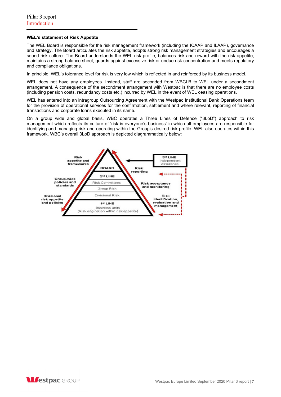## **WEL's statement of Risk Appetite**

The WEL Board is responsible for the risk management framework (including the ICAAP and ILAAP), governance and strategy. The Board articulates the risk appetite, adopts strong risk management strategies and encourages a sound risk culture. The Board understands the WEL risk profile, balances risk and reward with the risk appetite, maintains a strong balance sheet, guards against excessive risk or undue risk concentration and meets regulatory and compliance obligations.

In principle, WEL's tolerance level for risk is very low which is reflected in and reinforced by its business model.

WEL does not have any employees. Instead, staff are seconded from WBCLB to WEL under a secondment arrangement. A consequence of the secondment arrangement with Westpac is that there are no employee costs (including pension costs, redundancy costs etc.) incurred by WEL in the event of WEL ceasing operations.

WEL has entered into an intragroup Outsourcing Agreement with the Westpac Institutional Bank Operations team for the provision of operational services for the confirmation, settlement and where relevant, reporting of financial transactions and corporate loans executed in its name.

On a group wide and global basis, WBC operates a Three Lines of Defence ("3LoD") approach to risk management which reflects its culture of 'risk is everyone's business' in which all employees are responsible for identifying and managing risk and operating within the Group's desired risk profile. WEL also operates within this framework. WBC's overall 3LoD approach is depicted diagrammatically below:



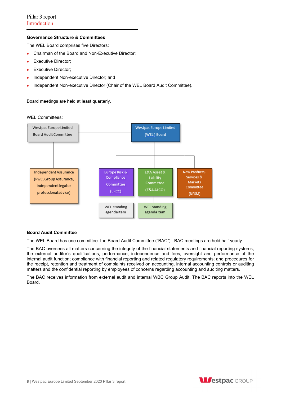# **Governance Structure & Committees**

The WEL Board comprises five Directors:

- Chairman of the Board and Non-Executive Director;
- **Executive Director;**
- Executive Director;
- Independent Non-executive Director; and
- Independent Non-executive Director (Chair of the WEL Board Audit Committee).

Board meetings are held at least quarterly.

WEL Committees:



# **Board Audit Committee**

The WEL Board has one committee: the Board Audit Committee ("BAC"). BAC meetings are held half yearly.

The BAC oversees all matters concerning the integrity of the financial statements and financial reporting systems, the external auditor's qualifications, performance, independence and fees; oversight and performance of the internal audit function; compliance with financial reporting and related regulatory requirements; and procedures for the receipt, retention and treatment of complaints received on accounting, internal accounting controls or auditing matters and the confidential reporting by employees of concerns regarding accounting and auditing matters.

The BAC receives information from external audit and internal WBC Group Audit. The BAC reports into the WEL Board.

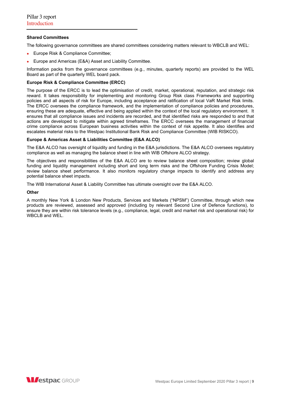# **Shared Committees**

The following governance committees are shared committees considering matters relevant to WBCLB and WEL:

- Europe Risk & Compliance Committee;
- Europe and Americas (E&A) Asset and Liability Committee.

Information packs from the governance committees (e.g., minutes, quarterly reports) are provided to the WEL Board as part of the quarterly WEL board pack.

## **Europe Risk & Compliance Committee (ERCC)**

The purpose of the ERCC is to lead the optimisation of credit, market, operational, reputation, and strategic risk reward. It takes responsibility for implementing and monitoring Group Risk class Frameworks and supporting policies and all aspects of risk for Europe, including acceptance and ratification of local VaR Market Risk limits. The ERCC oversees the compliance framework, and the implementation of compliance policies and procedures, ensuring these are adequate, effective and being applied within the context of the local regulatory environment. It ensures that all compliance issues and incidents are recorded, and that identified risks are responded to and that actions are developed to mitigate within agreed timeframes. The ERCC oversees the management of financial crime compliance across European business activities within the context of risk appetite. It also identifies and escalates material risks to the Westpac Institutional Bank Risk and Compliance Committee (WIB RISKCO).

# **Europe & Americas Asset & Liabilities Committee (E&A ALCO)**

The E&A ALCO has oversight of liquidity and funding in the E&A jurisdictions. The E&A ALCO oversees regulatory compliance as well as managing the balance sheet in line with WIB Offshore ALCO strategy.

The objectives and responsibilities of the E&A ALCO are to review balance sheet composition; review global funding and liquidity management including short and long term risks and the Offshore Funding Crisis Model; review balance sheet performance. It also monitors regulatory change impacts to identify and address any potential balance sheet impacts.

The WIB International Asset & Liability Committee has ultimate oversight over the E&A ALCO.

#### **Other**

A monthly New York & London New Products, Services and Markets ("NPSM") Committee, through which new products are reviewed, assessed and approved (including by relevant Second Line of Defence functions), to ensure they are within risk tolerance levels (e.g., compliance, legal, credit and market risk and operational risk) for WBCLB and WEL.

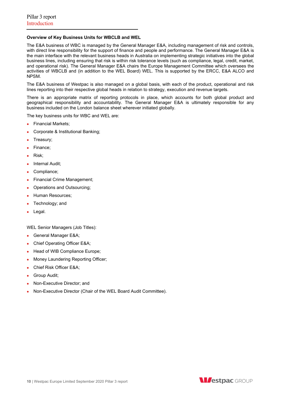# **Overview of Key Business Units for WBCLB and WEL**

The E&A business of WBC is managed by the General Manager E&A, including management of risk and controls, with direct line responsibility for the support of finance and people and performance. The General Manager E&A is the main interface with the relevant business heads in Australia on implementing strategic initiatives into the global business lines, including ensuring that risk is within risk tolerance levels (such as compliance, legal, credit, market, and operational risk). The General Manager E&A chairs the Europe Management Committee which oversees the activities of WBCLB and (in addition to the WEL Board) WEL. This is supported by the ERCC, E&A ALCO and NPSM.

The E&A business of Westpac is also managed on a global basis, with each of the product, operational and risk lines reporting into their respective global heads in relation to strategy, execution and revenue targets.

There is an appropriate matrix of reporting protocols in place, which accounts for both global product and geographical responsibility and accountability. The General Manager E&A is ultimately responsible for any business included on the London balance sheet wherever initiated globally.

The key business units for WBC and WEL are:

- Financial Markets:
- Corporate & Institutional Banking;
- Treasury;
- Finance;
- Risk;
- Internal Audit;
- Compliance;
- Financial Crime Management;
- Operations and Outsourcing;
- Human Resources;
- Technology; and
- Legal.

WEL Senior Managers (Job Titles):

- General Manager E&A;
- Chief Operating Officer E&A;
- Head of WIB Compliance Europe;
- Money Laundering Reporting Officer;
- Chief Risk Officer E&A;
- Group Audit;
- Non-Executive Director; and
- Non-Executive Director (Chair of the WEL Board Audit Committee).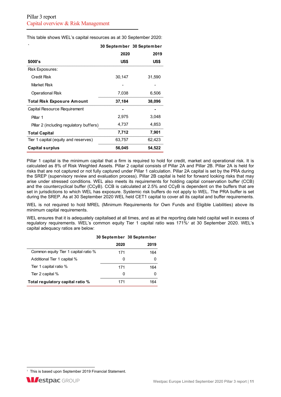This table shows WEL's capital resources as at 30 September 2020:

| $\cdot$                                 |        | 30 September 30 September |
|-----------------------------------------|--------|---------------------------|
|                                         | 2020   | 2019                      |
| \$000's                                 | US\$   | US\$                      |
| Risk Exposures:                         |        |                           |
| Credit Risk                             | 30,147 | 31,590                    |
| Market Risk                             |        |                           |
| Operational Risk                        | 7,038  | 6,506                     |
| <b>Total Risk Exposure Amount</b>       | 37,184 | 38,096                    |
| Capital Resource Requirement            |        |                           |
| Pillar 1                                | 2,975  | 3,048                     |
| Pillar 2 (including regulatory buffers) | 4,737  | 4,853                     |
| <b>Total Capital</b>                    | 7,712  | 7,901                     |
| Tier 1 capital (equity and reserves)    | 63,757 | 62,423                    |
| <b>Capital surplus</b>                  | 56,045 | 54,522                    |

Pillar 1 capital is the minimum capital that a firm is required to hold for credit, market and operational risk. It is calculated as 8% of Risk Weighted Assets. Pillar 2 capital consists of Pillar 2A and Pillar 2B. Pillar 2A is held for risks that are not captured or not fully captured under Pillar 1 calculation. Pillar 2A capital is set by the PRA during the SREP (supervisory review and evaluation process). Pillar 2B capital is held for forward looking risks that may arise under stressed conditions. WEL also meets its requirements for holding capital conservation buffer (CCB) and the countercyclical buffer (CCyB). CCB is calculated at 2.5% and CCyB is dependent on the buffers that are set in jurisdictions to which WEL has exposure. Systemic risk buffers do not apply to WEL. The PRA buffer is set during the SREP. As at 30 September 2020 WEL held CET1 capital to cover all its capital and buffer requirements.

WEL is not required to hold MREL (Minimum Requirements for Own Funds and Eligible Liabilities) above its minimum capital requirements.

WEL ensures that it is adequately capitalised at all times, and as at the reporting date held capital well in excess of regulatory requirements. WEL's common equity Tier 1 capital ratio was 171%<sup>,</sup> at 30 September 2020. WEL's capital adequacy ratios are below:

|                                      |      | 30 September 30 September |
|--------------------------------------|------|---------------------------|
|                                      | 2020 | 2019                      |
| Common equity Tier 1 capital ratio % | 171  | 164                       |
| Additional Tier 1 capital %          | O    | O                         |
| Tier 1 capital ratio %               | 171  | 164                       |
| Tier 2 capital %                     | O    | O                         |
| Total regulatory capital ratio %     | 171  | 164                       |

<sup>&</sup>lt;sup>1</sup> This is based upon September 2019 Financial Statement.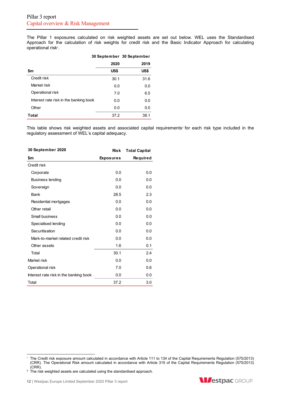The Pillar 1 exposures calculated on risk weighted assets are set out below. WEL uses the Standardised Approach for the calculation of risk weights for credit risk and the Basic Indicator Approach for calculating operational risk<sup>1</sup>.

|                                        | 30 September 30 September |      |
|----------------------------------------|---------------------------|------|
|                                        | 2020                      | 2019 |
| \$m                                    | US\$                      | US\$ |
| Credit risk                            | 30.1                      | 31.6 |
| Market risk                            | 0.0                       | 0.0  |
| Operational risk                       | 7.0                       | 6.5  |
| Interest rate risk in the banking book | 0.0                       | 0.0  |
| Other                                  | 0.0                       | 0.0  |
| Total                                  | 37.2                      | 38.1 |

This table shows risk weighted assets and associated capital requirements<sup>2</sup> for each risk type included in the regulatory assessment of WEL's capital adequacy.

| 30 September 2020                      | <b>Risk</b>      | <b>Total Capital</b> |
|----------------------------------------|------------------|----------------------|
| \$m                                    | <b>Exposures</b> | Required             |
| Credit risk                            |                  |                      |
| Corporate                              | 0.0              | 0.0                  |
| <b>Business lending</b>                | 0.0              | 0.0                  |
| Sovereign                              | 0.0              | 0.0                  |
| Bank                                   | 28.5             | 2.3                  |
| Residential mortgages                  | 0.0              | 0.0                  |
| Other retail                           | 0.0              | 0.0                  |
| Small business                         | 0.0              | 0.0                  |
| Specialised lending                    | 0.0              | 0.0                  |
| Securitisation                         | 0.0              | 0.0                  |
| Mark-to-market related credit risk     | 0.0              | 0.0                  |
| Other assets                           | 1.6              | 0.1                  |
| Total                                  | 30.1             | 2.4                  |
| Market risk                            | 0.0              | 0.0                  |
| Operational risk                       | 7.0              | 0.6                  |
| Interest rate risk in the banking book | 0.0              | 0.0                  |
| Total                                  | 37.2             | 3.0                  |



<sup>&</sup>lt;sup>1</sup> The Credit risk exposure amount calculated in accordance with Article 111 to 134 of the Capital Requirements Regulation (575/2013) (CRR). The Operational Risk amount calculated in accordance with Article 315 of the Capital Requirements Regulation (575/2013) (CRR).

 $2$  The risk weighted assets are calculated using the standardised approach.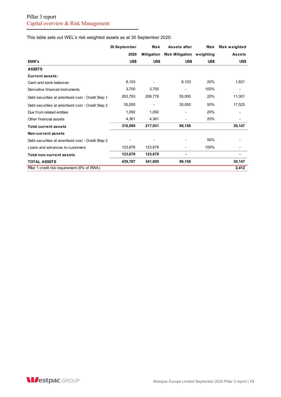This table sets out WEL's risk weighted assets as at 30 September 2020:

|                                                   | 30 September | <b>Risk</b> | Assets after                     | <b>Risk</b> | Risk weighted |
|---------------------------------------------------|--------------|-------------|----------------------------------|-------------|---------------|
|                                                   | 2020         | Mitigation  | <b>Risk Mitigation weighting</b> |             | <b>Assets</b> |
| \$000's                                           | US\$         | US\$        | US\$                             | US\$        | US\$          |
| <b>ASSETS</b>                                     |              |             |                                  |             |               |
| <b>Current assets:</b>                            |              |             |                                  |             |               |
| Cash and bank balances                            | 8,103        |             | 8,103                            | 20%         | 1,621         |
| Derivative financial instruments                  | 3,700        | 3,700       | ۰                                | 100%        |               |
| Debt securities at amortised cost - Credit Step 1 | 263,783      | 208,778     | 55,005                           | 20%         | 11,001        |
| Debt securities at amortised cost - Credit Step 2 | 35,050       |             | 35,050                           | 50%         | 17,525        |
| Due from related entities                         | 1,092        | 1,092       |                                  | 20%         |               |
| Other financial assets                            | 4,361        | 4,361       |                                  | 20%         |               |
| <b>Total current assets</b>                       | 316,089      | 217,931     | 98,158                           |             | 30,147        |
| Non-current assets                                |              |             |                                  |             |               |
| Debt securities at amortised cost - Credit Step 2 |              |             |                                  | 50%         |               |
| Loans and advances to customers                   | 123,678      | 123,678     |                                  | 100%        |               |
| Total non-current assets                          | 123,678      | 123,678     |                                  |             | ۰             |
| <b>TOTAL ASSETS</b>                               | 439,767      | 341,609     | 98,158                           |             | 30,147        |
| Pillar 1 credit risk requirement (8% of RWA)      |              |             |                                  |             | 2,412         |

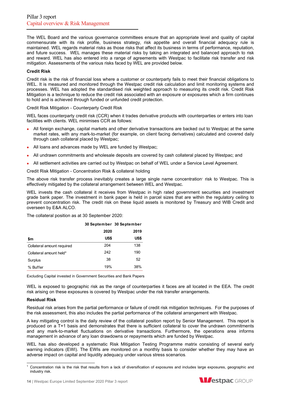The WEL Board and the various governance committees ensure that an appropriate level and quality of capital commensurate with its risk profile, business strategy, risk appetite and overall financial adequacy rule is maintained. WEL regards material risks as those risks that affect its business in terms of performance, reputation, and future success. WEL manages these material risks by taking an integrated and balanced approach to risk and reward. WEL has also entered into a range of agreements with Westpac to facilitate risk transfer and risk mitigation. Assessments of the various risks faced by WEL are provided below.

## **Credit Risk**

Credit risk is the risk of financial loss where a customer or counterparty fails to meet their financial obligations to WEL. It is measured and monitored through the Westpac credit risk calculation and limit monitoring systems and processes. WEL has adopted the standardised risk weighted approach to measuring its credit risk. Credit Risk Mitigation is a technique to reduce the credit risk associated with an exposure or exposures which a firm continues to hold and is achieved through funded or unfunded credit protection.

Credit Risk Mitigation - Counterparty Credit Risk

WEL faces counterparty credit risk (CCR) when it trades derivative products with counterparties or enters into loan facilities with clients. WEL minimises CCR as follows:

- All foreign exchange, capital markets and other derivative transactions are backed out to Westpac at the same market rates, with any mark-to-market (for example, on client facing derivatives) calculated and covered daily through cash collateral placed by Westpac;
- All loans and advances made by WEL are funded by Westpac;
- All undrawn commitments and wholesale deposits are covered by cash collateral placed by Westpac; and
- All settlement activities are carried out by Westpac on behalf of WEL under a Service Level Agreement.

Credit Risk Mitigation - Concentration Risk & collateral holding

The above risk transfer process inevitably creates a large single name concentration' risk to Westpac. This is effectively mitigated by the collateral arrangement between WEL and Westpac.

WEL invests the cash collateral it receives from Westpac in high rated government securities and investment grade bank paper. The investment in bank paper is held in parcel sizes that are within the regulatory ceiling to prevent concentration risk. The credit risk on these liquid assets is monitored by Treasury and WIB Credit and overseen by E&A ALCO.

The collateral position as at 30 September 2020:

|                            | 30 September 30 September |      |  |
|----------------------------|---------------------------|------|--|
|                            | 2020                      | 2019 |  |
| \$m                        | US\$                      | US\$ |  |
| Collateral amount required | 204                       | 138  |  |
| Collateral amount held*    | 242                       | 190  |  |
| Surplus                    | 38                        | 52   |  |
| % Buffer                   | 19%                       | 38%  |  |

Excluding Capital invested in Government Securities and Bank Papers

WEL is exposed to geographic risk as the range of counterparties it faces are all located in the EEA. The credit risk arising on these exposures is covered by Westpac under the risk transfer arrangements.

# **Residual Risk**

Residual risk arises from the partial performance or failure of credit risk mitigation techniques. For the purposes of the risk assessment, this also includes the partial performance of the collateral arrangement with Westpac.

A key mitigating control is the daily review of the collateral position report by Senior Management. This report is produced on a T+1 basis and demonstrates that there is sufficient collateral to cover the undrawn commitments and any mark-to-market fluctuations on derivative transactions. Furthermore, the operations area informs management in advance of any loan drawdowns or repayments which are funded by Westpac.

WEL has also developed a systematic Risk Mitigation Testing Programme matrix consisting of several early warning indicators (EWI). The EWIs are monitored on a monthly basis to consider whether they may have an adverse impact on capital and liquidity adequacy under various stress scenarios.



<sup>1</sup> Concentration risk is the risk that results from a lack of diversification of exposures and includes large exposures, geographic and industry risk.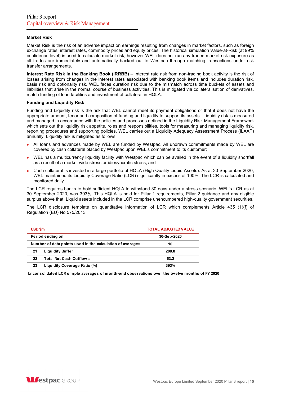## **Market Risk**

Market Risk is the risk of an adverse impact on earnings resulting from changes in market factors, such as foreign exchange rates, interest rates, commodity prices and equity prices. The historical simulation Value-at-Risk (at 99% confidence level) is used to calculate market risk, however WEL does not run any traded market risk exposure as all trades are immediately and automatically backed out to Westpac through matching transactions under risk transfer arrangements.

**Interest Rate Risk in the Banking Book (IRRBB)** – Interest rate risk from non-trading book activity is the risk of losses arising from changes in the interest rates associated with banking book items and includes duration risk, basis risk and optionality risk. WEL faces duration risk due to the mismatch across time buckets of assets and liabilities that arise in the normal course of business activities. This is mitigated via collateralisation of derivatives, match funding of loan facilities and investment of collateral in HQLA.

#### **Funding and Liquidity Risk**

Funding and Liquidity risk is the risk that WEL cannot meet its payment obligations or that it does not have the appropriate amount, tenor and composition of funding and liquidity to support its assets. Liquidity risk is measured and managed in accordance with the policies and processes defined in the Liquidity Risk Management Framework which sets out the liquidity risk appetite, roles and responsibilities, tools for measuring and managing liquidity risk, reporting procedures and supporting policies. WEL carries out a Liquidity Adequacy Assessment Process (ILAAP) annually. Liquidity risk is mitigated as follows:

- All loans and advances made by WEL are funded by Westpac. All undrawn commitments made by WEL are covered by cash collateral placed by Westpac upon WEL's commitment to its customer;
- WEL has a multicurrency liquidity facility with Westpac which can be availed in the event of a liquidity shortfall as a result of a market wide stress or idiosyncratic stress; and
- Cash collateral is invested in a large portfolio of HQLA (High Quality Liquid Assets). As at 30 September 2020, WEL maintained its Liquidity Coverage Ratio (LCR) significantly in excess of 100%. The LCR is calculated and monitored daily.

The LCR requires banks to hold sufficient HQLA to withstand 30 days under a stress scenario. WEL's LCR as at 30 September 2020, was 393%. This HQLA is held for Pillar 1 requirements, Pillar 2 guidance and any eligible surplus above that. Liquid assets included in the LCR comprise unencumbered high-quality government securities.

The LCR disclosure template on quantitative information of LCR which complements Article 435 (1)(f) of Regulation (EU) No 575/2013:

| USD \$m          | <b>TOTAL ADJUSTED VALUE</b>                               |             |
|------------------|-----------------------------------------------------------|-------------|
| Period ending on |                                                           | 30-Sep-2020 |
|                  | Number of data points used in the calculation of averages | 10          |
| 21               | <b>Liquidity Buffer</b>                                   | 208.8       |
| 22               | <b>Total Net Cash Outflows</b>                            | 53.2        |
| 23               | Liquidity Coverage Ratio (%)                              | 393%        |

**Unconsolidated LCR simple averages of month-end observations over the twelve months of FY 2020**

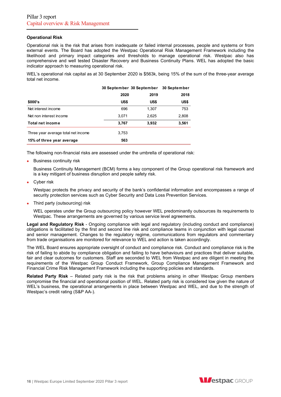## **Operational Risk**

Operational risk is the risk that arises from inadequate or failed internal processes, people and systems or from external events. The Board has adopted the Westpac Operational Risk Management Framework including the likelihood and primary impact categories and thresholds to manage operational risk. Westpac also has comprehensive and well tested Disaster Recovery and Business Continuity Plans. WEL has adopted the basic indicator approach to measuring operational risk.

WEL's operational risk capital as at 30 September 2020 is \$563k, being 15% of the sum of the three-year average total net income.

|                                     | 30 September 30 September |       | 30 September |
|-------------------------------------|---------------------------|-------|--------------|
|                                     | 2020                      | 2019  | 2018         |
| \$000's                             | US\$                      | US\$  | US\$         |
| Net interest income                 | 696                       | 1,307 | 753          |
| Net non interest income             | 3.071                     | 2,625 | 2,808        |
| Total net income                    | 3,767                     | 3,932 | 3,561        |
| Three year average total net income | 3,753                     |       |              |
| 15% of three year average           | 563                       |       |              |

The following non-financial risks are assessed under the umbrella of operational risk:

• Business continuity risk

Business Continuity Management (BCM) forms a key component of the Group operational risk framework and is a key mitigant of business disruption and people safety risk.

• Cyber risk

Westpac protects the privacy and security of the bank's confidential information and encompasses a range of security protection services such as Cyber Security and Data Loss Prevention Services.

• Third party (outsourcing) risk

WEL operates under the Group outsourcing policy however WEL predominantly outsources its requirements to Westpac. These arrangements are governed by various service level agreements.

**Legal and Regulatory Risk** - Ongoing compliance with legal and regulatory (including conduct and compliance) obligations is facilitated by the first and second line risk and compliance teams in conjunction with legal counsel and senior management. Changes to the regulatory regime, communications from regulators and commentary from trade organisations are monitored for relevance to WEL and action is taken accordingly.

The WEL Board ensures appropriate oversight of conduct and compliance risk. Conduct and compliance risk is the risk of failing to abide by compliance obligation and failing to have behaviours and practices that deliver suitable, fair and clear outcomes for customers. Staff are seconded to WEL from Westpac and are diligent in meeting the requirements of the Westpac Group Conduct Framework, Group Compliance Management Framework and Financial Crime Risk Management Framework including the supporting policies and standards.

**Related Party Risk** – Related party risk is the risk that problems arising in other Westpac Group members compromise the financial and operational position of WEL. Related party risk is considered low given the nature of WEL's business, the operational arrangements in place between Westpac and WEL, and due to the strength of Westpac's credit rating (S&P AA-).

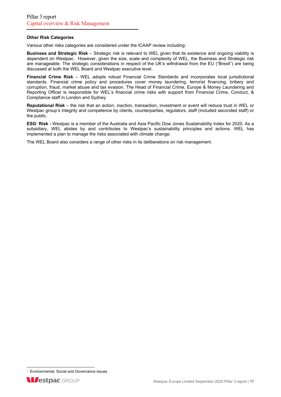## **Other Risk Categories**

Various other risks categories are considered under the ICAAP review including:

**Business and Strategic Risk** – Strategic risk is relevant to WEL given that its existence and ongoing viability is dependent on Westpac. However, given the size, scale and complexity of WEL, the Business and Strategic risk are manageable. The strategic considerations in respect of the UK's withdrawal from the EU ("Brexit") are being discussed at both the WEL Board and Westpac executive level.

**Financial Crime Risk** – WEL adopts robust Financial Crime Standards and incorporates local jurisdictional standards. Financial crime policy and procedures cover money laundering, terrorist financing, bribery and corruption, fraud, market abuse and tax evasion. The Head of Financial Crime, Europe & Money Laundering and Reporting Officer is responsible for WEL's financial crime risks with support from Financial Crime, Conduct, & Compliance staff in London and Sydney

**Reputational Risk** – the risk that an action, inaction, transaction, investment or event will reduce trust in WEL or Westpac group's integrity and competence by clients, counterparties, regulators, staff (included seconded staff) or the public.

**ESG<sup></sup> Risk -** Westpac is a member of the Australia and Asia Pacific Dow Jones Sustainability Index for 2020. As a subsidiary, WEL abides by and contributes to Westpac's sustainability principles and actions. WEL has implemented a plan to manage the risks associated with climate change.

The WEL Board also considers a range of other risks in its deliberations on risk management.

<sup>&</sup>lt;sup>1</sup> Environmental, Social and Governance issues

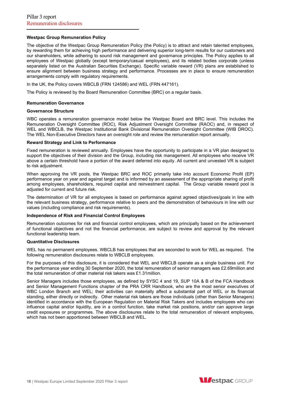## **Westpac Group Remuneration Policy**

The objective of the Westpac Group Remuneration Policy (the Policy) is to attract and retain talented employees, by rewarding them for achieving high performance and delivering superior long-term results for our customers and our shareholders, while adhering to sound risk management and governance principles. The Policy applies to all employees of Westpac globally (except temporary/casual employees), and its related bodies corporate (unless separately listed on the Australian Securities Exchange). Specific variable reward (VR) plans are established to ensure alignment between business strategy and performance. Processes are in place to ensure remuneration arrangements comply with regulatory requirements.

In the UK, the Policy covers WBCLB (FRN 124586) and WEL (FRN 447161).

The Policy is reviewed by the Board Remuneration Committee (BRC) on a regular basis.

#### **Remuneration Governance**

#### **Governance Structure**

WBC operates a remuneration governance model below the Westpac Board and BRC level. This includes the Remuneration Oversight Committee (ROC), Risk Adjustment Oversight Committee (RAOC) and, in respect of WEL and WBCLB, the Westpac Institutional Bank Divisional Remuneration Oversight Committee (WIB DROC). The WEL Non-Executive Directors have an oversight role and review the remuneration report annually.

#### **Reward Strategy and Link to Performance**

Fixed remuneration is reviewed annually. Employees have the opportunity to participate in a VR plan designed to support the objectives of their division and the Group, including risk management. All employees who receive VR above a certain threshold have a portion of the award deferred into equity. All current and unvested VR is subject to risk adjustment.

When approving the VR pools, the Westpac BRC and ROC primarily take into account Economic Profit (EP) performance year on year and against target and is informed by an assessment of the appropriate sharing of profit among employees, shareholders, required capital and reinvestment capital. The Group variable reward pool is adjusted for current and future risk.

The determination of VR for all employees is based on performance against agreed objectives/goals in line with the relevant business strategy, performance relative to peers and the demonstration of behaviours in line with our values (including compliance and risk requirements).

#### **Independence of Risk and Financial Control Employees**

Remuneration outcomes for risk and financial control employees, which are principally based on the achievement of functional objectives and not the financial performance, are subject to review and approval by the relevant functional leadership team.

#### **Quantitative Disclosures**

WEL has no permanent employees. WBCLB has employees that are seconded to work for WEL as required. The following remuneration disclosures relate to WBCLB employees.

For the purposes of this disclosure, it is considered that WEL and WBCLB operate as a single business unit. For the performance year ending 30 September 2020, the total remuneration of senior managers was £2.69million and the total remuneration of other material risk takers was £1.31million.

Senior Managers includes those employees, as defined by SYSC 4 and 19, SUP 10A & B of the FCA Handbook and Senior Management Functions chapter of the PRA CRR Handbook, who are the most senior executives of WBC London Branch and WEL; their activities can materially affect a substantial part of WEL or its financial standing, either directly or indirectly. Other material risk takers are those individuals (other than Senior Managers) identified in accordance with the European Regulation on Material Risk Takers and includes employees who can influence capital and/or liquidity, are in a control function, take market risk positions, and/or can approve large credit exposures or programmes. The above disclosures relate to the total remuneration of relevant employees, which has not been apportioned between WBCLB and WEL.

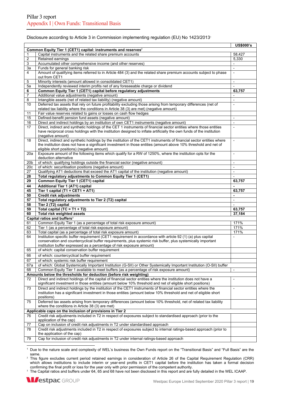## Disclosure according to Article 3 in Commission implementing regulation (EU) No 1423/2013<sup>1</sup>

|                 |                                                                                                                                                                                                                                             | <b>US\$000's</b>         |
|-----------------|---------------------------------------------------------------------------------------------------------------------------------------------------------------------------------------------------------------------------------------------|--------------------------|
|                 | Common Equity Tier 1 (CET1) capital: instruments and reserves <sup>2</sup>                                                                                                                                                                  |                          |
| $\mathbf{1}$    | Capital instruments and the related share premium accounts                                                                                                                                                                                  | 58,427                   |
| 2               | Retained earnings                                                                                                                                                                                                                           | 5,330                    |
| 3               | Accumulated other comprehensive income (and other reserves)                                                                                                                                                                                 |                          |
| 3a              | Funds for general banking risk                                                                                                                                                                                                              |                          |
| 4               | Amount of qualifying items referred to in Article 484 (3) and the related share premium accounts subject to phase                                                                                                                           | $\Box$                   |
|                 | out from CET1                                                                                                                                                                                                                               |                          |
| 5               | Minority interests (amount allowed in consolidated CET1)                                                                                                                                                                                    |                          |
| 5a              | Independently reviewed interim profits net of any foreseeable charge or dividend                                                                                                                                                            |                          |
| 6               | Common Equity Tier 1 (CET1) capital before regulatory adjustments                                                                                                                                                                           | 63,757                   |
| 7               | Additional value adjustments (negative amount)                                                                                                                                                                                              |                          |
| 8               | Intangible assets (net of related tax liability) (negative amount)                                                                                                                                                                          | ÷,                       |
| 10              | Deferred tax assets that rely on future profitability excluding those arising from temporary differences (net of                                                                                                                            |                          |
|                 | related tax liability where the conditions in Article 38 (3) are met) (negative amount)                                                                                                                                                     |                          |
| 11              | Fair value reserves related to gains or losses on cash flow hedges                                                                                                                                                                          |                          |
| 15              | Defined-benefit pension fund assets (negative amount)                                                                                                                                                                                       | $\overline{\phantom{a}}$ |
| 16              | Direct and indirect holdings by an institution of own CET1 instruments (negative amount)                                                                                                                                                    | $\overline{a}$           |
| 17              | Direct, indirect and synthetic holdings of the CET 1 instruments of financial sector entities where those entities<br>have reciprocal cross holdings with the institution designed to inflate artificially the own funds of the institution |                          |
|                 | (negative amount)                                                                                                                                                                                                                           |                          |
| 18              | Direct, indirect and synthetic holdings by the institution of the CET1 instruments of financial sector entities where                                                                                                                       | $\blacksquare$           |
|                 | the institution does not have a significant investment in those entities (amount above 10% threshold and net of                                                                                                                             |                          |
|                 | eligible short positions) (negative amount)                                                                                                                                                                                                 |                          |
| 20a             | Exposure amount of the following items which qualify for a RW of 1250%, where the institution opts for the                                                                                                                                  | $\blacksquare$           |
|                 | deduction alternative                                                                                                                                                                                                                       |                          |
| 20 <sub>b</sub> | of which: qualifying holdings outside the financial sector (negative amount)                                                                                                                                                                | $\overline{a}$           |
| 20c             | of which: securitisation positions (negative amount)                                                                                                                                                                                        |                          |
| 27              | Qualifying AT1 deductions that exceed the AT1 capital of the institution (negative amount)                                                                                                                                                  | $\overline{\phantom{a}}$ |
| 28              | Total regulatory adjustments to Common Equity Tier 1 (CET1)                                                                                                                                                                                 | $\blacksquare$           |
| 29              | Common Equity Tier 1 (CET1) capital                                                                                                                                                                                                         | 63,757                   |
| 44              | Additional Tier 1 (AT1) capital                                                                                                                                                                                                             |                          |
| 45              | Tier 1 capital (T1 = CET1 + AT1)                                                                                                                                                                                                            | 63,757                   |
| 50              | <b>Credit risk adjustments</b>                                                                                                                                                                                                              | $\blacksquare$           |
| 57              | Total regulatory adjustments to Tier 2 (T2) capital                                                                                                                                                                                         | $\blacksquare$           |
| 58              | Tier 2 (T2) capital                                                                                                                                                                                                                         | $\blacksquare$           |
| 59              | Total capital (TC = $T1 + T2$ )                                                                                                                                                                                                             | 63,757                   |
| 60              | Total risk weighted assets                                                                                                                                                                                                                  | 37,184                   |
|                 | Capital ratios and buffers <sup>3</sup>                                                                                                                                                                                                     |                          |
| 61              | Common Equity Tier 1 (as a percentage of total risk exposure amount)                                                                                                                                                                        | 171%                     |
| 62              | Tier 1 (as a percentage of total risk exposure amount)                                                                                                                                                                                      | 171%                     |
| 63              | Total capital (as a percentage of total risk exposure amount)                                                                                                                                                                               | 171%                     |
| 64              | Institution specific buffer requirement (CET1 requirement in accordance with article 92 (1) (a) plus capital                                                                                                                                | $\overline{\phantom{a}}$ |
|                 | conservation and countercyclical buffer requirements, plus systemic risk buffer, plus systemically important                                                                                                                                |                          |
|                 | institution buffer expressed as a percentage of risk exposure amount)                                                                                                                                                                       |                          |
| 65              | of which: capital conservation buffer requirement                                                                                                                                                                                           |                          |
| 66              | of which: countercyclical buffer requirement                                                                                                                                                                                                |                          |
| 67              | of which: systemic risk buffer requirement                                                                                                                                                                                                  |                          |
| 67a             | of which: Global Systemically Important Institution (G-SII) or Other Systemically Important Institution (O-SII) buffer                                                                                                                      |                          |
| 68              | Common Equity Tier 1 available to meet buffers (as a percentage of risk exposure amount)                                                                                                                                                    | $\overline{\phantom{a}}$ |
|                 | Amounts below the thresholds for deduction (before risk weighting)                                                                                                                                                                          |                          |
| 72              | Direct and indirect holdings of the capital of financial sector entities where the institution does not have a                                                                                                                              | $\blacksquare$           |
|                 | significant investment in those entities (amount below 10% threshold and net of eligible short positions)                                                                                                                                   |                          |
| 73              | Direct and indirect holdings by the institution of the CET1 instruments of financial sector entities where the                                                                                                                              | $\overline{a}$           |
|                 | institution has a significant investment in those entities (amount below 10% threshold and net of eligible short                                                                                                                            |                          |
|                 | positions)                                                                                                                                                                                                                                  |                          |
| 75              | Deferred tax assets arising from temporary differences (amount below 10% threshold, net of related tax liability                                                                                                                            |                          |
|                 | where the conditions in Article 38 (3) are met)                                                                                                                                                                                             |                          |
|                 | Applicable caps on the inclusion of provisions in Tier 2                                                                                                                                                                                    |                          |
| 76              | Credit risk adjustments included in T2 in respect of exposures subject to standardised approach (prior to the                                                                                                                               |                          |
|                 | application of the cap)                                                                                                                                                                                                                     |                          |
| 77              | Cap on inclusion of credit risk adjustments in T2 under standardised approach                                                                                                                                                               |                          |
| 78              | Credit risk adjustments included in T2 in respect of exposures subject to internal ratings-based approach (prior to                                                                                                                         |                          |
|                 | the application of the cap)                                                                                                                                                                                                                 |                          |
| 79              | Cap for inclusion of credit risk adjustments in T2 under internal ratings-based approach                                                                                                                                                    |                          |
|                 |                                                                                                                                                                                                                                             |                          |

1 Due to the nature scale and complexity of WEL's business the Own Funds report on the "Transitional Basis" and "Full Basis" are the same.

<sup>2</sup> This figure excludes current period retained earnings in consideration of Article 26 of the Capital Requirement Regulation (CRR) which allows institutions to include interim or year-end profits in CET1 capital before the institution has taken a formal decision confirming the final profit or loss for the year only with prior permission of the competent authority.

<sup>3</sup> The Capital ratios and buffers under 64, 65 and 68 have not been disclosed in this report and are fully detailed in the WEL ICAAP.